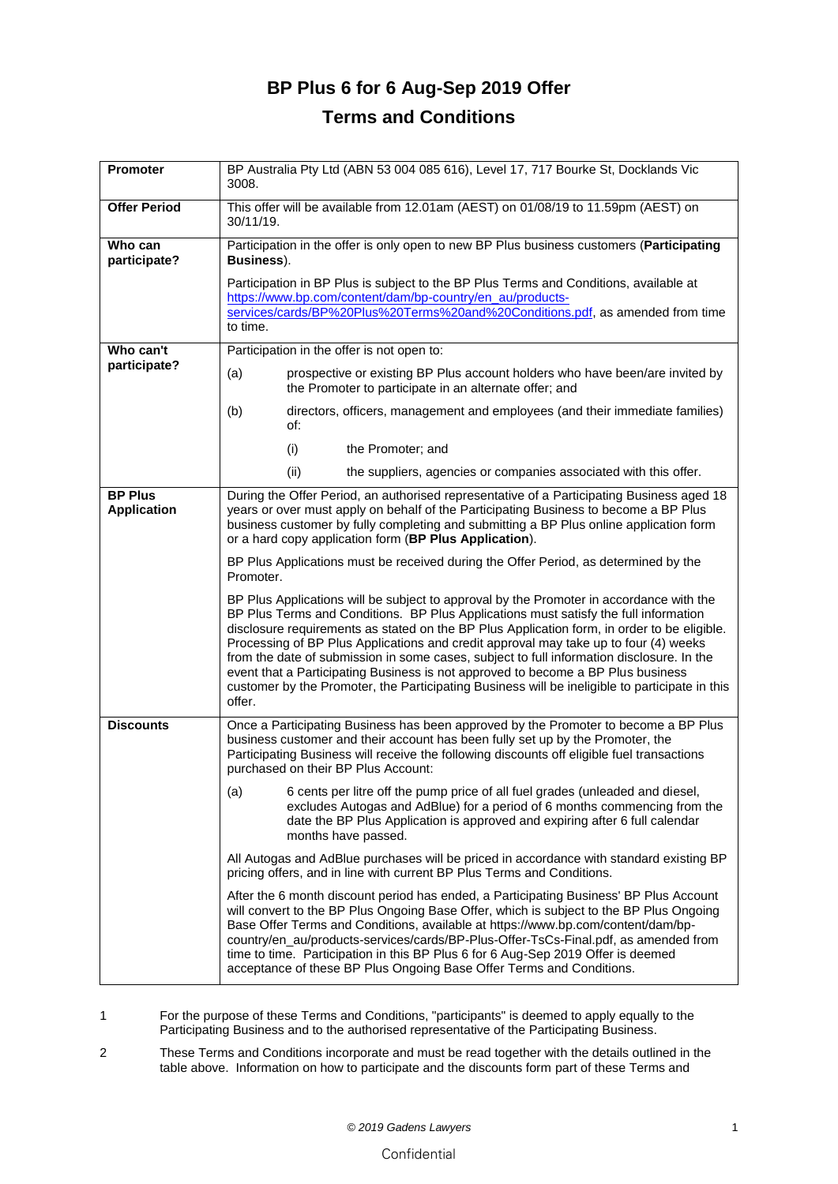## **BP Plus 6 for 6 Aug-Sep 2019 Offer Terms and Conditions**

| <b>Promoter</b>                      | BP Australia Pty Ltd (ABN 53 004 085 616), Level 17, 717 Bourke St, Docklands Vic<br>3008.                                                                                                                                                                                                                                                                                                                                                                                                                                                                                                                                                                          |
|--------------------------------------|---------------------------------------------------------------------------------------------------------------------------------------------------------------------------------------------------------------------------------------------------------------------------------------------------------------------------------------------------------------------------------------------------------------------------------------------------------------------------------------------------------------------------------------------------------------------------------------------------------------------------------------------------------------------|
| <b>Offer Period</b>                  | This offer will be available from 12.01am (AEST) on 01/08/19 to 11.59pm (AEST) on<br>30/11/19.                                                                                                                                                                                                                                                                                                                                                                                                                                                                                                                                                                      |
| Who can<br>participate?              | Participation in the offer is only open to new BP Plus business customers (Participating<br>Business).                                                                                                                                                                                                                                                                                                                                                                                                                                                                                                                                                              |
|                                      | Participation in BP Plus is subject to the BP Plus Terms and Conditions, available at<br>https://www.bp.com/content/dam/bp-country/en_au/products-<br>services/cards/BP%20Plus%20Terms%20and%20Conditions.pdf, as amended from time<br>to time.                                                                                                                                                                                                                                                                                                                                                                                                                     |
| Who can't                            | Participation in the offer is not open to:                                                                                                                                                                                                                                                                                                                                                                                                                                                                                                                                                                                                                          |
| participate?                         | prospective or existing BP Plus account holders who have been/are invited by<br>(a)<br>the Promoter to participate in an alternate offer; and                                                                                                                                                                                                                                                                                                                                                                                                                                                                                                                       |
|                                      | (b)<br>directors, officers, management and employees (and their immediate families)<br>of:                                                                                                                                                                                                                                                                                                                                                                                                                                                                                                                                                                          |
|                                      | the Promoter; and<br>(i)                                                                                                                                                                                                                                                                                                                                                                                                                                                                                                                                                                                                                                            |
|                                      | (ii)<br>the suppliers, agencies or companies associated with this offer.                                                                                                                                                                                                                                                                                                                                                                                                                                                                                                                                                                                            |
| <b>BP Plus</b><br><b>Application</b> | During the Offer Period, an authorised representative of a Participating Business aged 18<br>years or over must apply on behalf of the Participating Business to become a BP Plus<br>business customer by fully completing and submitting a BP Plus online application form<br>or a hard copy application form (BP Plus Application).                                                                                                                                                                                                                                                                                                                               |
|                                      | BP Plus Applications must be received during the Offer Period, as determined by the<br>Promoter.                                                                                                                                                                                                                                                                                                                                                                                                                                                                                                                                                                    |
|                                      | BP Plus Applications will be subject to approval by the Promoter in accordance with the<br>BP Plus Terms and Conditions. BP Plus Applications must satisfy the full information<br>disclosure requirements as stated on the BP Plus Application form, in order to be eligible.<br>Processing of BP Plus Applications and credit approval may take up to four (4) weeks<br>from the date of submission in some cases, subject to full information disclosure. In the<br>event that a Participating Business is not approved to become a BP Plus business<br>customer by the Promoter, the Participating Business will be ineligible to participate in this<br>offer. |
| <b>Discounts</b>                     | Once a Participating Business has been approved by the Promoter to become a BP Plus<br>business customer and their account has been fully set up by the Promoter, the<br>Participating Business will receive the following discounts off eligible fuel transactions<br>purchased on their BP Plus Account:                                                                                                                                                                                                                                                                                                                                                          |
|                                      | 6 cents per litre off the pump price of all fuel grades (unleaded and diesel,<br>(a)<br>excludes Autogas and AdBlue) for a period of 6 months commencing from the<br>date the BP Plus Application is approved and expiring after 6 full calendar<br>months have passed.                                                                                                                                                                                                                                                                                                                                                                                             |
|                                      | All Autogas and AdBlue purchases will be priced in accordance with standard existing BP<br>pricing offers, and in line with current BP Plus Terms and Conditions.                                                                                                                                                                                                                                                                                                                                                                                                                                                                                                   |
|                                      | After the 6 month discount period has ended, a Participating Business' BP Plus Account<br>will convert to the BP Plus Ongoing Base Offer, which is subject to the BP Plus Ongoing<br>Base Offer Terms and Conditions, available at https://www.bp.com/content/dam/bp-<br>country/en_au/products-services/cards/BP-Plus-Offer-TsCs-Final.pdf, as amended from<br>time to time. Participation in this BP Plus 6 for 6 Aug-Sep 2019 Offer is deemed<br>acceptance of these BP Plus Ongoing Base Offer Terms and Conditions.                                                                                                                                            |

1 For the purpose of these Terms and Conditions, "participants" is deemed to apply equally to the Participating Business and to the authorised representative of the Participating Business.

2 These Terms and Conditions incorporate and must be read together with the details outlined in the table above. Information on how to participate and the discounts form part of these Terms and